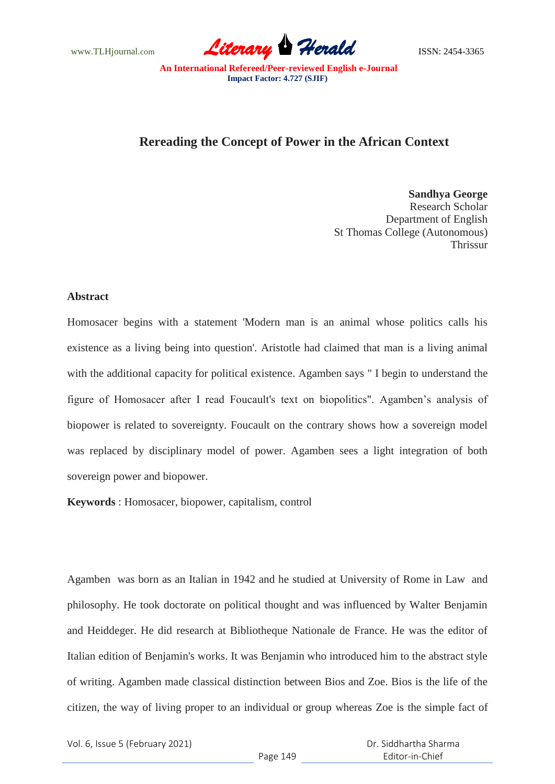www.TLHjournal.com *Literary Herald*ISSN: 2454-3365

## **Rereading the Concept of Power in the African Context**

**Sandhya George** Research Scholar Department of English St Thomas College (Autonomous) Thrissur

## **Abstract**

Homosacer begins with a statement 'Modern man is an animal whose politics calls his existence as a living being into question'. Aristotle had claimed that man is a living animal with the additional capacity for political existence. Agamben says " I begin to understand the figure of Homosacer after I read Foucault's text on biopolitics". Agamben's analysis of biopower is related to sovereignty. Foucault on the contrary shows how a sovereign model was replaced by disciplinary model of power. Agamben sees a light integration of both sovereign power and biopower.

**Keywords** : Homosacer, biopower, capitalism, control

Agamben was born as an Italian in 1942 and he studied at University of Rome in Law and philosophy. He took doctorate on political thought and was influenced by Walter Benjamin and Heiddeger. He did research at Bibliotheque Nationale de France. He was the editor of Italian edition of Benjamin's works. It was Benjamin who introduced him to the abstract style of writing. Agamben made classical distinction between Bios and Zoe. Bios is the life of the citizen, the way of living proper to an individual or group whereas Zoe is the simple fact of

Vol. 6, Issue 5 (February 2021)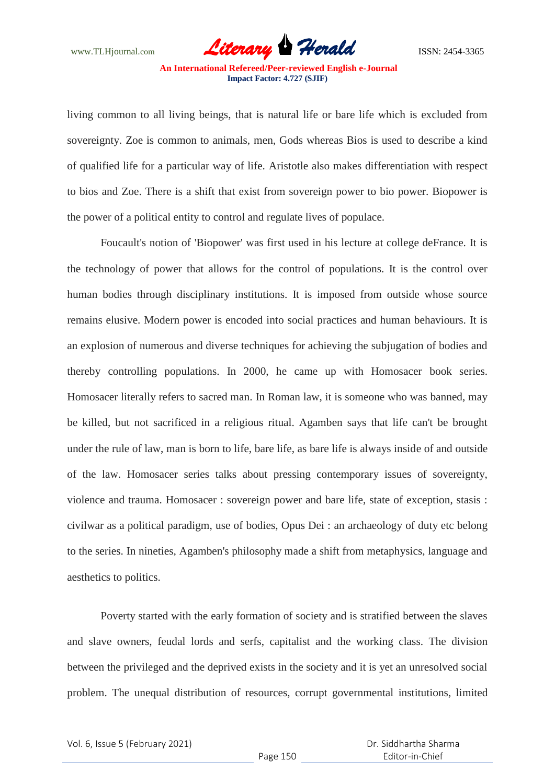www.TLHjournal.com **Literary Herald Herald** ISSN: 2454-3365

living common to all living beings, that is natural life or bare life which is excluded from sovereignty. Zoe is common to animals, men, Gods whereas Bios is used to describe a kind of qualified life for a particular way of life. Aristotle also makes differentiation with respect to bios and Zoe. There is a shift that exist from sovereign power to bio power. Biopower is the power of a political entity to control and regulate lives of populace.

Foucault's notion of 'Biopower' was first used in his lecture at college deFrance. It is the technology of power that allows for the control of populations. It is the control over human bodies through disciplinary institutions. It is imposed from outside whose source remains elusive. Modern power is encoded into social practices and human behaviours. It is an explosion of numerous and diverse techniques for achieving the subjugation of bodies and thereby controlling populations. In 2000, he came up with Homosacer book series. Homosacer literally refers to sacred man. In Roman law, it is someone who was banned, may be killed, but not sacrificed in a religious ritual. Agamben says that life can't be brought under the rule of law, man is born to life, bare life, as bare life is always inside of and outside of the law. Homosacer series talks about pressing contemporary issues of sovereignty, violence and trauma. Homosacer : sovereign power and bare life, state of exception, stasis : civilwar as a political paradigm, use of bodies, Opus Dei : an archaeology of duty etc belong to the series. In nineties, Agamben's philosophy made a shift from metaphysics, language and aesthetics to politics.

Poverty started with the early formation of society and is stratified between the slaves and slave owners, feudal lords and serfs, capitalist and the working class. The division between the privileged and the deprived exists in the society and it is yet an unresolved social problem. The unequal distribution of resources, corrupt governmental institutions, limited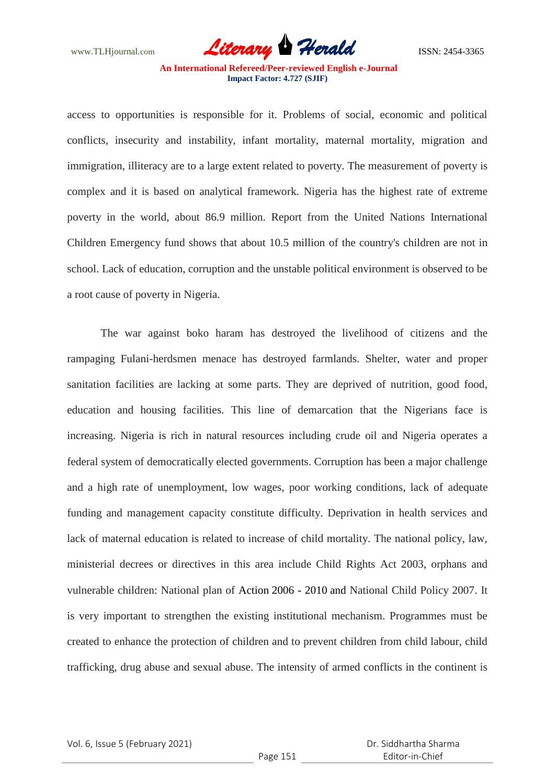www.TLHjournal.com **Literary Herald Herald** ISSN: 2454-3365

**An International Refereed/Peer-reviewed English e-Journal Impact Factor: 4.727 (SJIF)**

access to opportunities is responsible for it. Problems of social, economic and political conflicts, insecurity and instability, infant mortality, maternal mortality, migration and immigration, illiteracy are to a large extent related to poverty. The measurement of poverty is complex and it is based on analytical framework. Nigeria has the highest rate of extreme poverty in the world, about 86.9 million. Report from the United Nations International Children Emergency fund shows that about 10.5 million of the country's children are not in school. Lack of education, corruption and the unstable political environment is observed to be a root cause of poverty in Nigeria.

The war against boko haram has destroyed the livelihood of citizens and the rampaging Fulani-herdsmen menace has destroyed farmlands. Shelter, water and proper sanitation facilities are lacking at some parts. They are deprived of nutrition, good food, education and housing facilities. This line of demarcation that the Nigerians face is increasing. Nigeria is rich in natural resources including crude oil and Nigeria operates a federal system of democratically elected governments. Corruption has been a major challenge and a high rate of unemployment, low wages, poor working conditions, lack of adequate funding and management capacity constitute difficulty. Deprivation in health services and lack of maternal education is related to increase of child mortality. The national policy, law, ministerial decrees or directives in this area include Child Rights Act 2003, orphans and vulnerable children: National plan of Action 2006 - 2010 and National Child Policy 2007. It is very important to strengthen the existing institutional mechanism. Programmes must be created to enhance the protection of children and to prevent children from child labour, child trafficking, drug abuse and sexual abuse. The intensity of armed conflicts in the continent is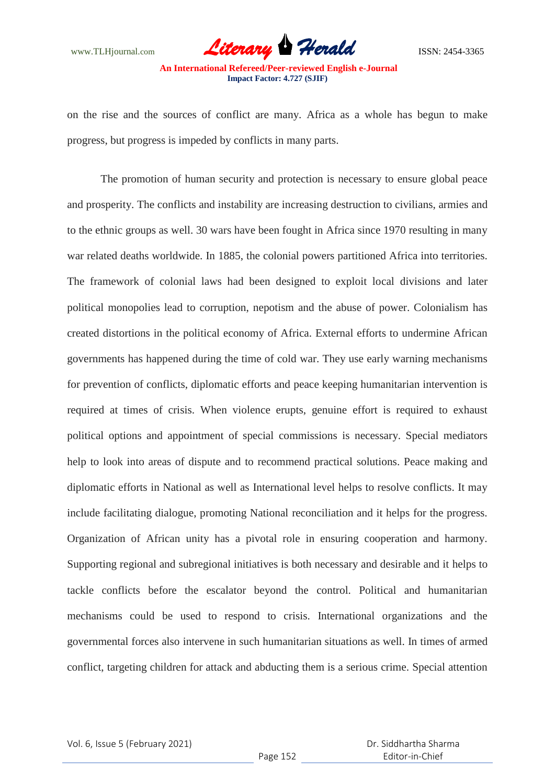www.TLHjournal.com *Literary Herald*ISSN: 2454-3365

on the rise and the sources of conflict are many. Africa as a whole has begun to make progress, but progress is impeded by conflicts in many parts.

The promotion of human security and protection is necessary to ensure global peace and prosperity. The conflicts and instability are increasing destruction to civilians, armies and to the ethnic groups as well. 30 wars have been fought in Africa since 1970 resulting in many war related deaths worldwide. In 1885, the colonial powers partitioned Africa into territories. The framework of colonial laws had been designed to exploit local divisions and later political monopolies lead to corruption, nepotism and the abuse of power. Colonialism has created distortions in the political economy of Africa. External efforts to undermine African governments has happened during the time of cold war. They use early warning mechanisms for prevention of conflicts, diplomatic efforts and peace keeping humanitarian intervention is required at times of crisis. When violence erupts, genuine effort is required to exhaust political options and appointment of special commissions is necessary. Special mediators help to look into areas of dispute and to recommend practical solutions. Peace making and diplomatic efforts in National as well as International level helps to resolve conflicts. It may include facilitating dialogue, promoting National reconciliation and it helps for the progress. Organization of African unity has a pivotal role in ensuring cooperation and harmony. Supporting regional and subregional initiatives is both necessary and desirable and it helps to tackle conflicts before the escalator beyond the control. Political and humanitarian mechanisms could be used to respond to crisis. International organizations and the governmental forces also intervene in such humanitarian situations as well. In times of armed conflict, targeting children for attack and abducting them is a serious crime. Special attention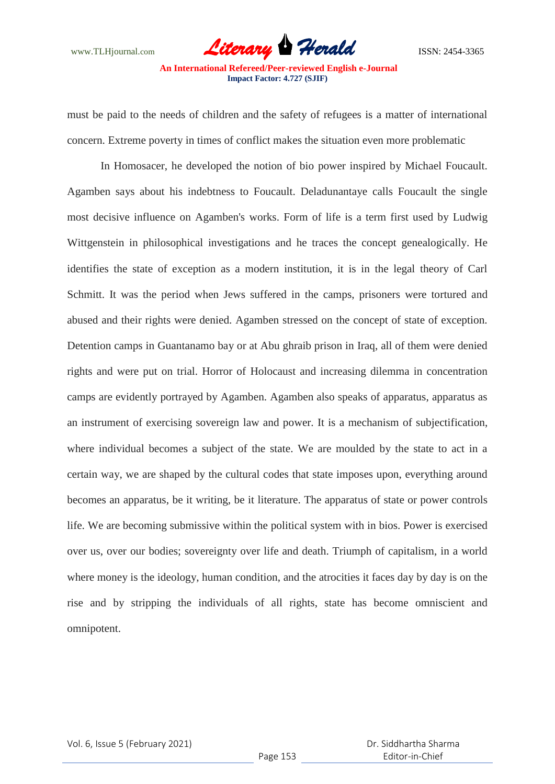must be paid to the needs of children and the safety of refugees is a matter of international concern. Extreme poverty in times of conflict makes the situation even more problematic

In Homosacer, he developed the notion of bio power inspired by Michael Foucault. Agamben says about his indebtness to Foucault. Deladunantaye calls Foucault the single most decisive influence on Agamben's works. Form of life is a term first used by Ludwig Wittgenstein in philosophical investigations and he traces the concept genealogically. He identifies the state of exception as a modern institution, it is in the legal theory of Carl Schmitt. It was the period when Jews suffered in the camps, prisoners were tortured and abused and their rights were denied. Agamben stressed on the concept of state of exception. Detention camps in Guantanamo bay or at Abu ghraib prison in Iraq, all of them were denied rights and were put on trial. Horror of Holocaust and increasing dilemma in concentration camps are evidently portrayed by Agamben. Agamben also speaks of apparatus, apparatus as an instrument of exercising sovereign law and power. It is a mechanism of subjectification, where individual becomes a subject of the state. We are moulded by the state to act in a certain way, we are shaped by the cultural codes that state imposes upon, everything around becomes an apparatus, be it writing, be it literature. The apparatus of state or power controls life. We are becoming submissive within the political system with in bios. Power is exercised over us, over our bodies; sovereignty over life and death. Triumph of capitalism, in a world where money is the ideology, human condition, and the atrocities it faces day by day is on the rise and by stripping the individuals of all rights, state has become omniscient and omnipotent.